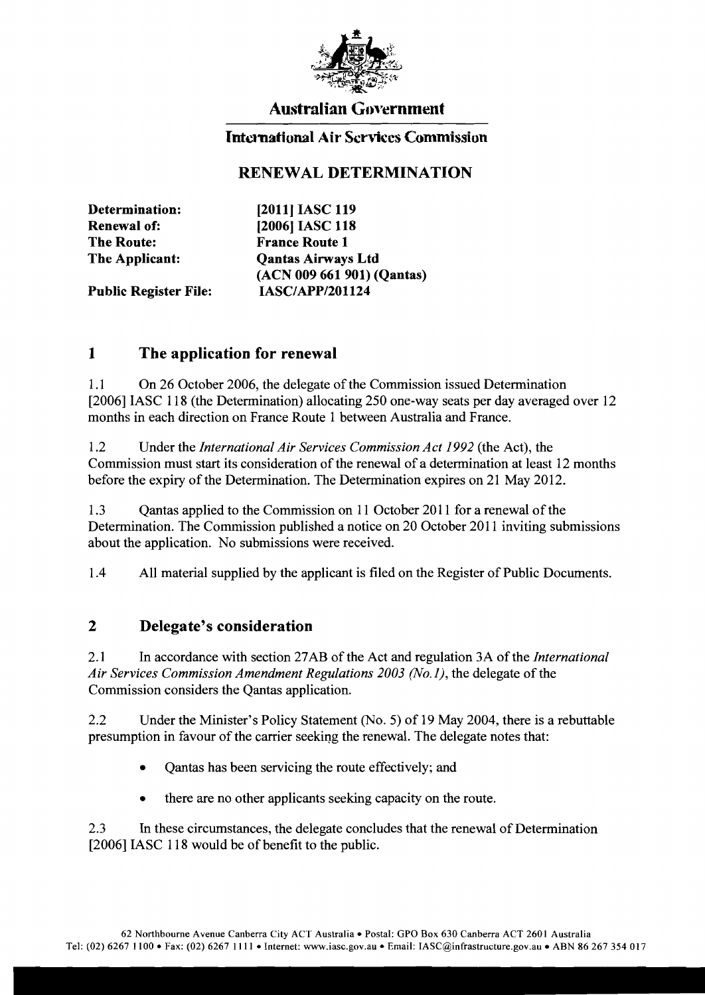

## Australian GoYernment

### International Air Services Commission

## RENEWAL DETERMINATION

| [2011] IASC 119            |
|----------------------------|
| [2006] IASC 118            |
| <b>France Route 1</b>      |
| <b>Qantas Airways Ltd</b>  |
| (ACN 009 661 901) (Qantas) |
| <b>IASC/APP/201124</b>     |
|                            |

#### 1 The application for renewal

1.1 On 26 October 2006, the delegate of the Commission issued Determination [2006] IASC 118 (the Determination) allocating 250 one-way seats per day averaged over 12 months in each direction on France Route 1 between Australia and France.

1.2 Under the *International Air Services Commission Act* 1992 (the Act), the Commission must start its consideration of the renewal of a determination at least 12 months before the expiry of the Determination. The Determination expires on 21 May 2012.

1.3 Qantas applied to the Commission on 11 October 2011 for a renewal of the Determination. The Commission published a notice on 20 October 2011 inviting submissions about the application. No submissions were received.

1.4 All material supplied by the applicant is filed on the Register of Public Documents.

#### 2 Delegate's consideration

2.1 In accordance with section 27AB of the Act and regulation 3A ofthe *International Air Services Commission Amendment Regulations 2003 (No.1),* the delegate of the Commission considers the Qantas application.

2.2 Under the Minister's Policy Statement (No.5) of 19 May 2004, there is a rebuttable presumption in favour of the carrier seeking the renewal. The delegate notes that:

- Qantas has been servicing the route effectively; and
- there are no other applicants seeking capacity on the route.

2.3 In these circumstances, the delegate concludes that the renewal of Determination [2006] IASC 118 would be of benefit to the public.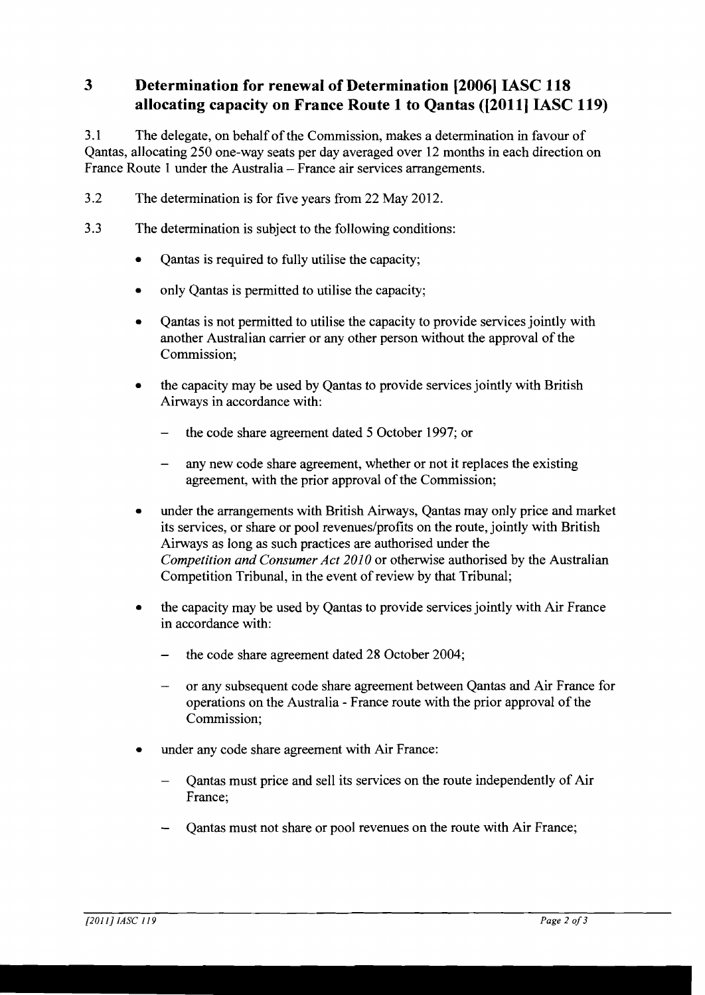# **3** Determination for renewal of Determination [2006] IASC 118 allocating capacity on France Route 1 to Qantas ([2011] IASC 119)

3.1 The delegate, on behalf ofthe Commission, makes a determination in favour of Qantas, allocating 250 one-way seats per day averaged over 12 months in each direction on France Route 1 under the Australia - France air services arrangements.

- 3.2 The determination is for five years from 22 May 2012.
- 3.3 The determination is subject to the following conditions:
	- Qantas is required to fully utilise the capacity;
	- only Qantas is permitted to utilise the capacity;
	- Qantas is not permitted to utilise the capacity to provide services jointly with another Australian carrier or any other person without the approval of the Commission;
	- the capacity may be used by Qantas to provide services jointly with British Airways in accordance with:
		- the code share agreement dated 5 October 1997; or  $\frac{1}{2}$
		- any new code share agreement, whether or not it replaces the existing agreement, with the prior approval of the Commission;
	- under the arrangements with British Airways, Oantas may only price and market its services, or share or pool revenues/profits on the route, jointly with British Airways as long as such practices are authorised under the *Competition and Consumer Act 2010* or otherwise authorised by the Australian Competition Tribunal, in the event of review by that Tribunal;
	- the capacity may be used by Qantas to provide services jointly with Air France in accordance with:
		- the code share agreement dated 28 October 2004;
		- or any subsequent code share agreement between Qantas and Air France for operations on the Australia - France route with the prior approval of the Commission;
	- under any code share agreement with Air France:
		- Qantas must price and sell its services on the route independently of Air France;
		- Qantas must not share or pool revenues on the route with Air France;